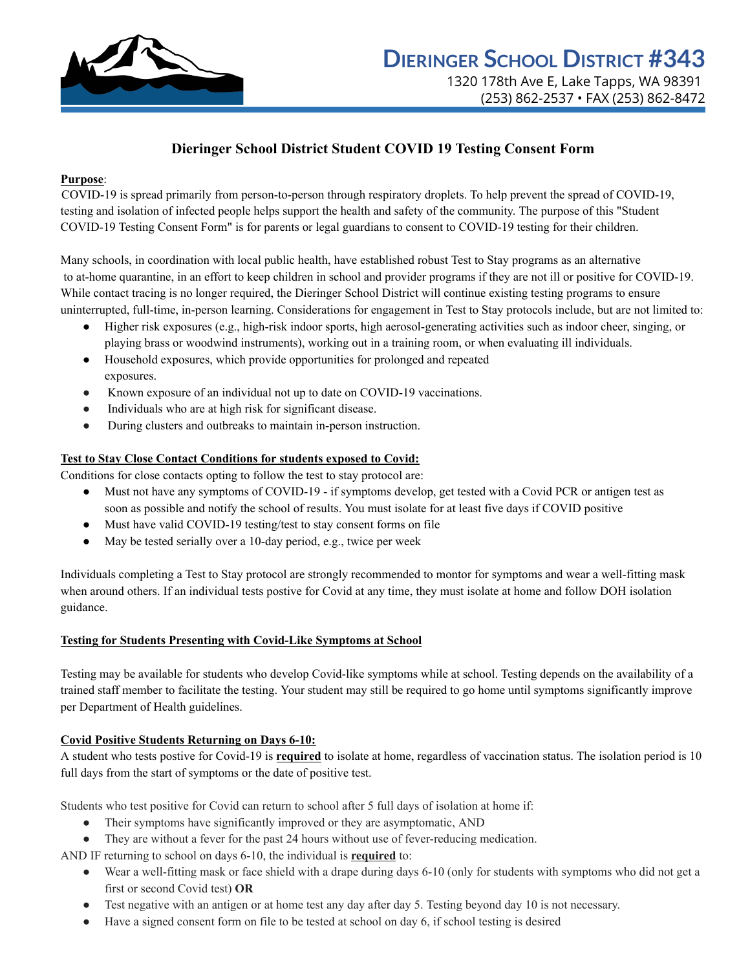

# **Dieringer School District Student COVID 19 Testing Consent Form**

## **Purpose**:

COVID-19 is spread primarily from person-to-person through respiratory droplets. To help prevent the spread of COVID-19, testing and isolation of infected people helps support the health and safety of the community. The purpose of this "Student COVID-19 Testing Consent Form" is for parents or legal guardians to consent to COVID-19 testing for their children.

Many schools, in coordination with local public health, have established robust Test to Stay programs as an alternative to at-home quarantine, in an effort to keep children in school and provider programs if they are not ill or positive for COVID-19. While contact tracing is no longer required, the Dieringer School District will continue existing testing programs to ensure uninterrupted, full-time, in-person learning. Considerations for engagement in Test to Stay protocols include, but are not limited to:

- Higher risk exposures (e.g., high-risk indoor sports, high aerosol-generating activities such as indoor cheer, singing, or playing brass or woodwind instruments), working out in a training room, or when evaluating ill individuals.
- Household exposures, which provide opportunities for prolonged and repeated exposures.
- Known exposure of an individual not up to date on COVID-19 vaccinations.
- Individuals who are at high risk for significant disease.
- During clusters and outbreaks to maintain in-person instruction.

## **Test to Stay Close Contact Conditions for students exposed to Covid:**

Conditions for close contacts opting to follow the test to stay protocol are:

- Must not have any symptoms of COVID-19 if symptoms develop, get tested with a Covid PCR or antigen test as soon as possible and notify the school of results. You must isolate for at least five days if COVID positive
- Must have valid COVID-19 testing/test to stay consent forms on file
- May be tested serially over a 10-day period, e.g., twice per week

Individuals completing a Test to Stay protocol are strongly recommended to montor for symptoms and wear a well-fitting mask when around others. If an individual tests postive for Covid at any time, they must isolate at home and follow DOH isolation guidance.

#### **Testing for Students Presenting with Covid-Like Symptoms at School**

Testing may be available for students who develop Covid-like symptoms while at school. Testing depends on the availability of a trained staff member to facilitate the testing. Your student may still be required to go home until symptoms significantly improve per Department of Health guidelines.

#### **Covid Positive Students Returning on Days 6-10:**

A student who tests postive for Covid-19 is **required** to isolate at home, regardless of vaccination status. The isolation period is 10 full days from the start of symptoms or the date of positive test.

Students who test positive for Covid can return to school after 5 full days of isolation at home if:

- Their symptoms have significantly improved or they are asymptomatic, AND
- They are without a fever for the past 24 hours without use of fever-reducing medication.

AND IF returning to school on days 6-10, the individual is **required** to:

- Wear a well-fitting mask or face shield with a drape during days 6-10 (only for students with symptoms who did not get a first or second Covid test) **OR**
- Test negative with an antigen or at home test any day after day 5. Testing beyond day 10 is not necessary.
- $\bullet$  Have a signed consent form on file to be tested at school on day 6, if school testing is desired